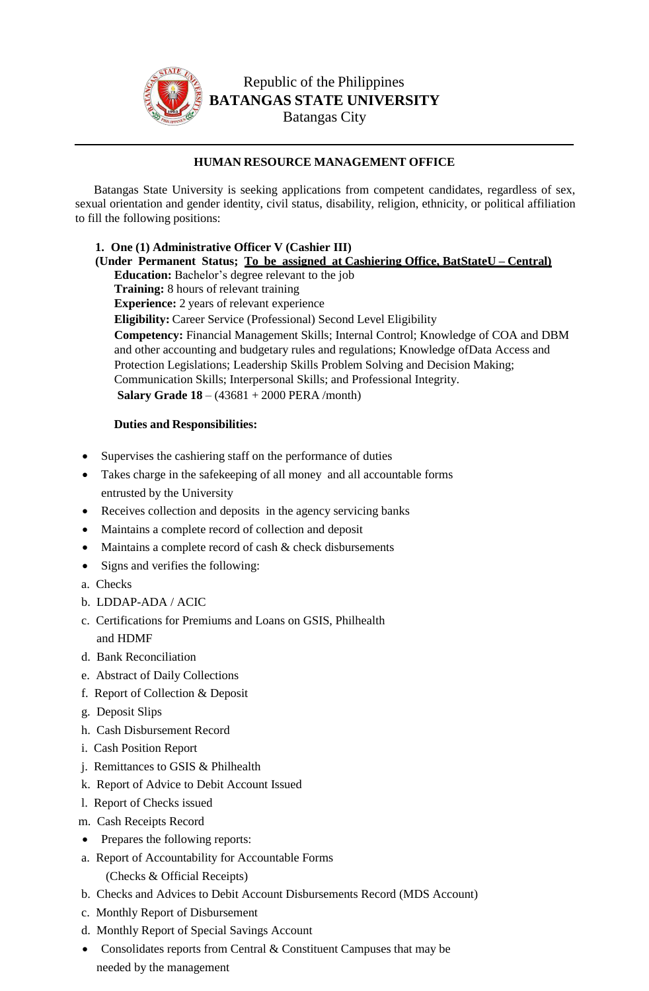

# Republic of the Philippines **BATANGAS STATE UNIVERSITY** Batangas City

# **HUMAN RESOURCE MANAGEMENT OFFICE**

Batangas State University is seeking applications from competent candidates, regardless of sex, sexual orientation and gender identity, civil status, disability, religion, ethnicity, or political affiliation to fill the following positions:

**1. One (1) Administrative Officer V (Cashier III) (Under Permanent Status; To be assigned at Cashiering Office, BatStateU – Central) Education:** Bachelor's degree relevant to the job **Training:** 8 hours of relevant training **Experience:** 2 years of relevant experience **Eligibility:** Career Service (Professional) Second Level Eligibility **Competency:** Financial Management Skills; Internal Control; Knowledge of COA and DBM and other accounting and budgetary rules and regulations; Knowledge ofData Access and Protection Legislations; Leadership Skills Problem Solving and Decision Making; Communication Skills; Interpersonal Skills; and Professional Integrity. **Salary Grade 18** – (43681 + 2000 PERA /month)

## **Duties and Responsibilities:**

- Supervises the cashiering staff on the performance of duties
- Takes charge in the safekeeping of all money and all accountable forms entrusted by the University
- Receives collection and deposits in the agency servicing banks
- Maintains a complete record of collection and deposit
- Maintains a complete record of cash & check disbursements
- Signs and verifies the following:
- a. Checks
- b. LDDAP-ADA / ACIC
- c. Certifications for Premiums and Loans on GSIS, Philhealth and HDMF
- d. Bank Reconciliation
- e. Abstract of Daily Collections
- f. Report of Collection & Deposit
- g. Deposit Slips
- h. Cash Disbursement Record
- i. Cash Position Report
- j. Remittances to GSIS & Philhealth
- k. Report of Advice to Debit Account Issued
- l. Report of Checks issued
- m. Cash Receipts Record
- Prepares the following reports:
- a. Report of Accountability for Accountable Forms
	- (Checks & Official Receipts)
- b. Checks and Advices to Debit Account Disbursements Record (MDS Account)
- c. Monthly Report of Disbursement
- d. Monthly Report of Special Savings Account
- Consolidates reports from Central & Constituent Campuses that may be needed by the management